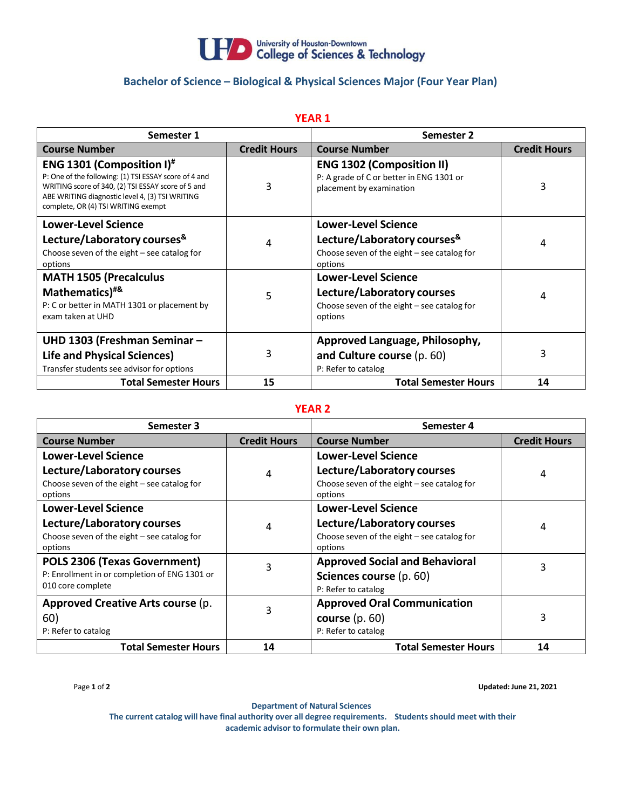

## **Bachelor of Science – Biological & Physical Sciences Major (Four Year Plan)**

| <b>YEAR 1</b>                                                                                                                                                                                                                                        |                     |                                                                                                          |                     |  |  |
|------------------------------------------------------------------------------------------------------------------------------------------------------------------------------------------------------------------------------------------------------|---------------------|----------------------------------------------------------------------------------------------------------|---------------------|--|--|
| Semester 1                                                                                                                                                                                                                                           |                     | Semester 2                                                                                               |                     |  |  |
| <b>Course Number</b>                                                                                                                                                                                                                                 | <b>Credit Hours</b> | <b>Course Number</b>                                                                                     | <b>Credit Hours</b> |  |  |
| <b>ENG 1301 (Composition I)<sup>#</sup></b><br>P: One of the following: (1) TSI ESSAY score of 4 and<br>WRITING score of 340, (2) TSI ESSAY score of 5 and<br>ABE WRITING diagnostic level 4, (3) TSI WRITING<br>complete, OR (4) TSI WRITING exempt | 3                   | <b>ENG 1302 (Composition II)</b><br>P: A grade of C or better in ENG 1301 or<br>placement by examination | 3                   |  |  |
| <b>Lower-Level Science</b>                                                                                                                                                                                                                           |                     | <b>Lower-Level Science</b>                                                                               |                     |  |  |
| Lecture/Laboratory courses <sup>&amp;</sup><br>Choose seven of the eight - see catalog for<br>options                                                                                                                                                | 4                   | Lecture/Laboratory courses <sup>&amp;</sup><br>Choose seven of the eight $-$ see catalog for<br>options  | 4                   |  |  |
| <b>MATH 1505 (Precalculus</b>                                                                                                                                                                                                                        |                     | <b>Lower-Level Science</b>                                                                               |                     |  |  |
| Mathematics) <sup>#&amp;</sup><br>P: C or better in MATH 1301 or placement by<br>exam taken at UHD                                                                                                                                                   | 5                   | Lecture/Laboratory courses<br>Choose seven of the eight $-$ see catalog for<br>options                   | 4                   |  |  |
| UHD 1303 (Freshman Seminar -                                                                                                                                                                                                                         |                     | Approved Language, Philosophy,                                                                           |                     |  |  |
| <b>Life and Physical Sciences)</b><br>Transfer students see advisor for options                                                                                                                                                                      | 3                   | and Culture course (p. 60)<br>P: Refer to catalog                                                        | 3                   |  |  |
| <b>Total Semester Hours</b>                                                                                                                                                                                                                          | 15                  | <b>Total Semester Hours</b>                                                                              | 14                  |  |  |

## **YEAR 2**

| Semester 3                                                                                         |                     | Semester 4                                                                              |                     |
|----------------------------------------------------------------------------------------------------|---------------------|-----------------------------------------------------------------------------------------|---------------------|
| <b>Course Number</b>                                                                               | <b>Credit Hours</b> | <b>Course Number</b>                                                                    | <b>Credit Hours</b> |
| <b>Lower-Level Science</b>                                                                         |                     | <b>Lower-Level Science</b>                                                              |                     |
| Lecture/Laboratory courses<br>Choose seven of the eight $-$ see catalog for<br>options             | 4                   | Lecture/Laboratory courses<br>Choose seven of the eight $-$ see catalog for<br>options  | 4                   |
| <b>Lower-Level Science</b>                                                                         |                     | <b>Lower-Level Science</b>                                                              |                     |
| Lecture/Laboratory courses<br>Choose seven of the eight $-$ see catalog for<br>options             | 4                   | Lecture/Laboratory courses<br>Choose seven of the eight $-$ see catalog for<br>options  | 4                   |
| POLS 2306 (Texas Government)<br>P: Enrollment in or completion of ENG 1301 or<br>010 core complete | 3                   | <b>Approved Social and Behavioral</b><br>Sciences course (p. 60)<br>P: Refer to catalog | 3                   |
| Approved Creative Arts course (p.<br>60)<br>P: Refer to catalog                                    | 3                   | <b>Approved Oral Communication</b><br>course $(p. 60)$<br>P: Refer to catalog           | 3                   |
| <b>Total Semester Hours</b>                                                                        | 14                  | <b>Total Semester Hours</b>                                                             | 14                  |

Page **1** of **2 Updated: June 21, 2021**

**Department of Natural Sciences The current catalog will have final authority over all degree requirements. Students should meet with their academic advisor to formulate their own plan.**